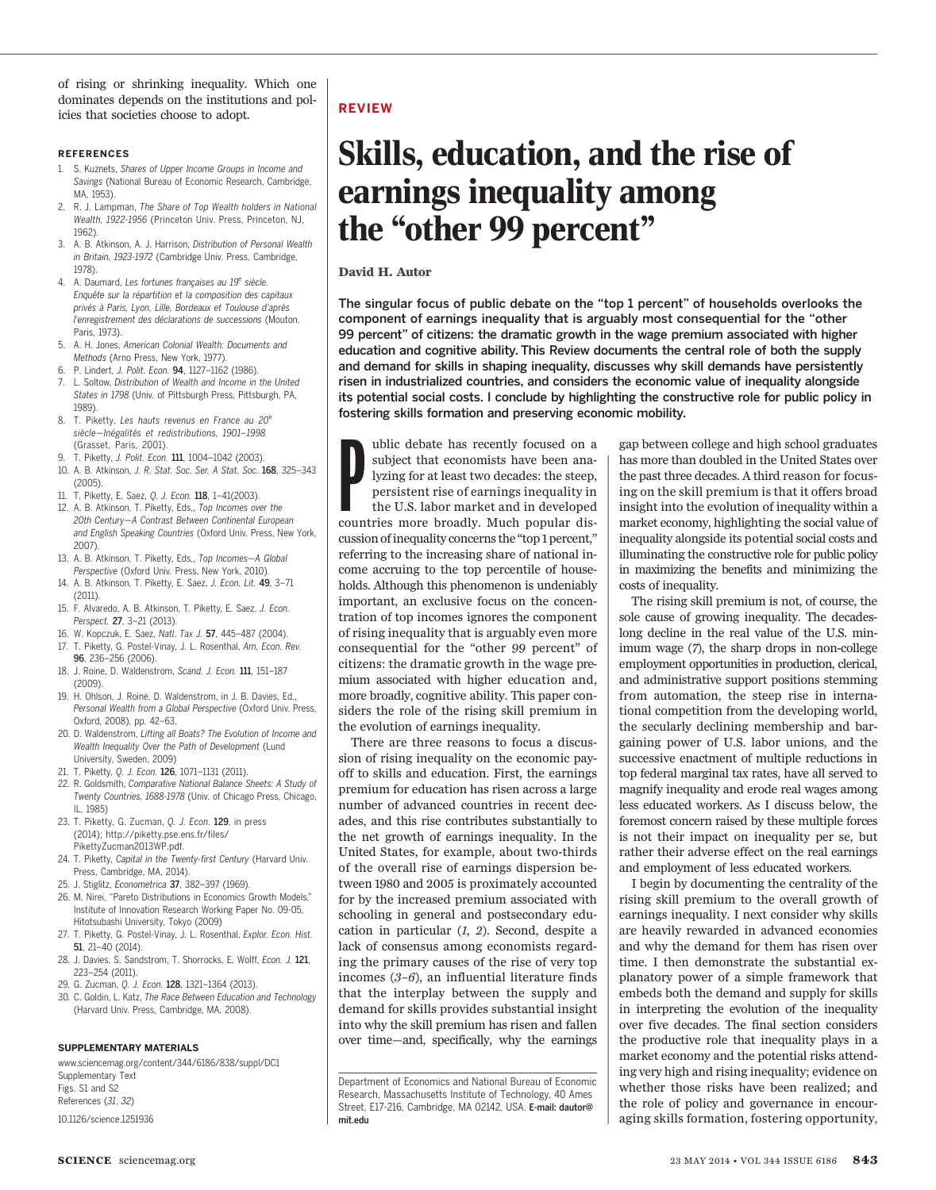of rising or shrinking inequality. Which one dominates depends on the institutions and policies that societies choose to adopt.

#### **REFERENCES**

- 1. S. Kuznets, Shares of Upper Income Groups in Income and Savings (National Bureau of Economic Research, Cambridge, MA, 1953).
- 2. R. J. Lampman, The Share of Top Wealth holders in National Wealth, 1922-1956 (Princeton Univ. Press, Princeton, NJ, 1962).
- 3. A. B. Atkinson, A. J. Harrison, Distribution of Personal Wealth in Britain, 1923-1972 (Cambridge Univ. Press, Cambridge, 1978).
- 4. A. Daumard, Les fortunes françaises au 19<sup>e</sup> siècle. Enquête sur la répartition et la composition des capitaux privés à Paris, Lyon, Lille, Bordeaux et Toulouse d'après l'enregistrement des déclarations de successions (Mouton, Paris, 1973).
- 5. A. H. Jones, American Colonial Wealth: Documents and Methods (Arno Press, New York, 1977).
- 6. P. Lindert, J. Polit. Econ. 94, 1127–1162 (1986). 7. L. Soltow, Distribution of Wealth and Income in the United
- States in 1798 (Univ. of Pittsburgh Press, Pittsburgh, PA, 1989). 8. T. Piketty, Les hauts revenus en France au 20<sup>e</sup>
- siècle—Inégalités et redistributions, 1901–1998 (Grasset, Paris, 2001).
- 9. T. Piketty, J. Polit. Econ. 111, 1004–1042 (2003).
- 10. A. B. Atkinson, J. R. Stat. Soc. Ser. A Stat. Soc. 168, 325–343 (2005).
- 11. T. Piketty, E. Saez, Q. J. Econ. 118, 1–41(2003).
- 12. A. B. Atkinson, T. Piketty, Eds., Top Incomes over the 20th Century—A Contrast Between Continental European and English Speaking Countries (Oxford Univ. Press, New York, 2007).
- 13. A. B. Atkinson, T. Piketty, Eds., Top Incomes—A Global Perspective (Oxford Univ. Press, New York, 2010).
- 14. A. B. Atkinson, T. Piketty, E. Saez, J. Econ. Lit. 49, 3–71 (2011).
- 15. F. Alvaredo, A. B. Atkinson, T. Piketty, E. Saez, J. Econ. Perspect. 27, 3–21 (2013).
- 16. W. Kopczuk, E. Saez, Natl. Tax J. 57, 445–487 (2004).
- 17. T. Piketty, G. Postel-Vinay, J. L. Rosenthal, Am. Econ. Rev. 96, 236–256 (2006).
- 18. J. Roine, D. Waldenstrom, Scand. J. Econ. 111, 151–187 (2009).
- 19. H. Ohlson, J. Roine, D. Waldenstrom, in J. B. Davies, Ed., Personal Wealth from a Global Perspective (Oxford Univ. Press, Oxford, 2008), pp. 42–63.
- 20. D. Waldenstrom, Lifting all Boats? The Evolution of Income and Wealth Inequality Over the Path of Development (Lund University, Sweden, 2009)
- 21. T. Piketty, Q. J. Econ. 126, 1071–1131 (2011).
- 22. R. Goldsmith, Comparative National Balance Sheets: A Study of Twenty Countries, 1688-1978 (Univ. of Chicago Press, Chicago, IL, 1985)
- 23. T. Piketty, G. Zucman, Q. J. Econ. 129, in press (2014); http://piketty.pse.ens.fr/files/ PikettyZucman2013WP.pdf.
- 24. T. Piketty, Capital in the Twenty-first Century (Harvard Univ. Press, Cambridge, MA, 2014).
- 25. J. Stiglitz, Econometrica 37, 382–397 (1969).
- 26. M. Nirei, "Pareto Distributions in Economics Growth Models," Institute of Innovation Research Working Paper No. 09-05, Hitotsubashi University, Tokyo (2009)
- 27. T. Piketty, G. Postel-Vinay, J. L. Rosenthal, Explor. Econ. Hist. 51, 21–40 (2014).
- 28. J. Davies, S. Sandstrom, T. Shorrocks, E. Wolff, Econ. J. 121. 223–254 (2011).
- 29. G. Zucman, Q. J. Econ. 128, 1321–1364 (2013).
- 30. C. Goldin, L. Katz, The Race Between Education and Technology (Harvard Univ. Press, Cambridge, MA, 2008).

#### SUPPLEMENTARY MATERIALS

www.sciencemag.org/content/344/6186/838/suppl/DC1 Supplementary Text Figs. S1 and S2 References (31, 32)

10.1126/science.1251936

## REVIEW

# Skills, education, and the rise of earnings inequality among the "other 99 percent"

#### David H. Autor

The singular focus of public debate on the "top 1 percent" of households overlooks the component of earnings inequality that is arguably most consequential for the "other 99 percent" of citizens: the dramatic growth in the wage premium associated with higher education and cognitive ability. This Review documents the central role of both the supply and demand for skills in shaping inequality, discusses why skill demands have persistently risen in industrialized countries, and considers the economic value of inequality alongside its potential social costs. I conclude by highlighting the constructive role for public policy in fostering skills formation and preserving economic mobility.

ablic debate has recently focused on a subject that economists have been analyzing for at least two decades: the steep, persistent rise of earnings inequality in the U.S. labor market and in developed countries more broadl ublic debate has recently focused on a subject that economists have been analyzing for at least two decades: the steep, persistent rise of earnings inequality in the U.S. labor market and in developed cussion of inequality concerns the "top 1 percent," referring to the increasing share of national income accruing to the top percentile of households. Although this phenomenon is undeniably important, an exclusive focus on the concentration of top incomes ignores the component of rising inequality that is arguably even more consequential for the "other 99 percent" of citizens: the dramatic growth in the wage premium associated with higher education and, more broadly, cognitive ability. This paper considers the role of the rising skill premium in the evolution of earnings inequality.

There are three reasons to focus a discussion of rising inequality on the economic payoff to skills and education. First, the earnings premium for education has risen across a large number of advanced countries in recent decades, and this rise contributes substantially to the net growth of earnings inequality. In the United States, for example, about two-thirds of the overall rise of earnings dispersion between 1980 and 2005 is proximately accounted for by the increased premium associated with schooling in general and postsecondary education in particular (1, 2). Second, despite a lack of consensus among economists regarding the primary causes of the rise of very top incomes  $(3-6)$ , an influential literature finds that the interplay between the supply and demand for skills provides substantial insight into why the skill premium has risen and fallen over time—and, specifically, why the earnings

Department of Economics and National Bureau of Economic Research, Massachusetts Institute of Technology, 40 Ames Street, E17-216, Cambridge, MA 02142, USA. E-mail: dautor@ mit.edu

gap between college and high school graduates has more than doubled in the United States over the past three decades. A third reason for focusing on the skill premium is that it offers broad insight into the evolution of inequality within a market economy, highlighting the social value of inequality alongside its potential social costs and illuminating the constructive role for public policy in maximizing the benefits and minimizing the costs of inequality.

The rising skill premium is not, of course, the sole cause of growing inequality. The decadeslong decline in the real value of the U.S. minimum wage (7), the sharp drops in non-college employment opportunities in production, clerical, and administrative support positions stemming from automation, the steep rise in international competition from the developing world, the secularly declining membership and bargaining power of U.S. labor unions, and the successive enactment of multiple reductions in top federal marginal tax rates, have all served to magnify inequality and erode real wages among less educated workers. As I discuss below, the foremost concern raised by these multiple forces is not their impact on inequality per se, but rather their adverse effect on the real earnings and employment of less educated workers.

I begin by documenting the centrality of the rising skill premium to the overall growth of earnings inequality. I next consider why skills are heavily rewarded in advanced economies and why the demand for them has risen over time. I then demonstrate the substantial explanatory power of a simple framework that embeds both the demand and supply for skills in interpreting the evolution of the inequality over five decades. The final section considers the productive role that inequality plays in a market economy and the potential risks attending very high and rising inequality; evidence on whether those risks have been realized; and the role of policy and governance in encouraging skills formation, fostering opportunity,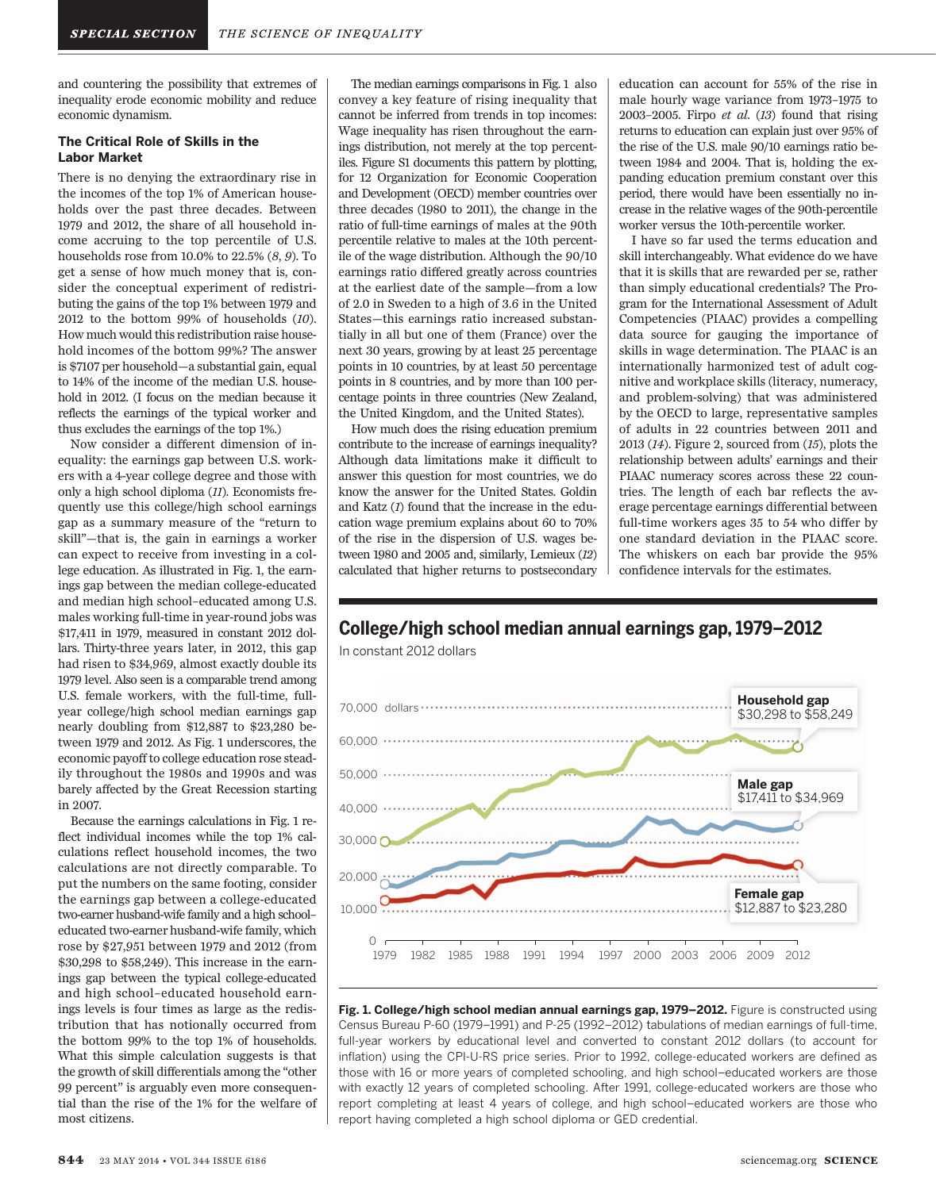and countering the possibility that extremes of inequality erode economic mobility and reduce economic dynamism.

#### The Critical Role of Skills in the Labor Market

There is no denying the extraordinary rise in the incomes of the top 1% of American households over the past three decades. Between 1979 and 2012, the share of all household income accruing to the top percentile of U.S. households rose from 10.0% to 22.5% (8, 9). To get a sense of how much money that is, consider the conceptual experiment of redistributing the gains of the top 1% between 1979 and 2012 to the bottom 99% of households (10). How much would this redistribution raise household incomes of the bottom 99%? The answer is \$7107 per household—a substantial gain, equal to 14% of the income of the median U.S. household in 2012. (I focus on the median because it reflects the earnings of the typical worker and thus excludes the earnings of the top 1%.)

Now consider a different dimension of inequality: the earnings gap between U.S. workers with a 4-year college degree and those with only a high school diploma (11). Economists frequently use this college/high school earnings gap as a summary measure of the "return to skill"—that is, the gain in earnings a worker can expect to receive from investing in a college education. As illustrated in Fig. 1, the earnings gap between the median college-educated and median high school–educated among U.S. males working full-time in year-round jobs was \$17,411 in 1979, measured in constant 2012 dollars. Thirty-three years later, in 2012, this gap had risen to \$34,969, almost exactly double its 1979 level. Also seen is a comparable trend among U.S. female workers, with the full-time, fullyear college/high school median earnings gap nearly doubling from \$12,887 to \$23,280 between 1979 and 2012. As Fig. 1 underscores, the economic payoff to college education rose steadily throughout the 1980s and 1990s and was barely affected by the Great Recession starting in 2007.

Because the earnings calculations in Fig. 1 reflect individual incomes while the top 1% calculations reflect household incomes, the two calculations are not directly comparable. To put the numbers on the same footing, consider the earnings gap between a college-educated two-earner husband-wife family and a high school– educated two-earner husband-wife family, which rose by \$27,951 between 1979 and 2012 (from \$30,298 to \$58,249). This increase in the earnings gap between the typical college-educated and high school–educated household earnings levels is four times as large as the redistribution that has notionally occurred from the bottom 99% to the top 1% of households. What this simple calculation suggests is that the growth of skill differentials among the "other 99 percent" is arguably even more consequential than the rise of the 1% for the welfare of most citizens.

The median earnings comparisons in Fig. 1 also convey a key feature of rising inequality that cannot be inferred from trends in top incomes: Wage inequality has risen throughout the earnings distribution, not merely at the top percentiles. Figure S1 documents this pattern by plotting, for 12 Organization for Economic Cooperation and Development (OECD) member countries over three decades (1980 to 2011), the change in the ratio of full-time earnings of males at the 90th percentile relative to males at the 10th percentile of the wage distribution. Although the 90/10 earnings ratio differed greatly across countries at the earliest date of the sample—from a low of 2.0 in Sweden to a high of 3.6 in the United States—this earnings ratio increased substantially in all but one of them (France) over the next 30 years, growing by at least 25 percentage points in 10 countries, by at least 50 percentage points in 8 countries, and by more than 100 percentage points in three countries (New Zealand, the United Kingdom, and the United States).

How much does the rising education premium contribute to the increase of earnings inequality? Although data limitations make it difficult to answer this question for most countries, we do know the answer for the United States. Goldin and Katz (1) found that the increase in the education wage premium explains about 60 to 70% of the rise in the dispersion of U.S. wages between 1980 and 2005 and, similarly, Lemieux (12) calculated that higher returns to postsecondary education can account for 55% of the rise in male hourly wage variance from 1973–1975 to 2003–2005. Firpo  $et$  al.  $(13)$  found that rising returns to education can explain just over 95% of the rise of the U.S. male 90/10 earnings ratio between 1984 and 2004. That is, holding the expanding education premium constant over this period, there would have been essentially no increase in the relative wages of the 90th-percentile worker versus the 10th-percentile worker.

I have so far used the terms education and skill interchangeably. What evidence do we have that it is skills that are rewarded per se, rather than simply educational credentials? The Program for the International Assessment of Adult Competencies (PIAAC) provides a compelling data source for gauging the importance of skills in wage determination. The PIAAC is an internationally harmonized test of adult cognitive and workplace skills (literacy, numeracy, and problem-solving) that was administered by the OECD to large, representative samples of adults in 22 countries between 2011 and 2013 (14). Figure 2, sourced from (15), plots the relationship between adults' earnings and their PIAAC numeracy scores across these 22 countries. The length of each bar reflects the average percentage earnings differential between full-time workers ages 35 to 54 who differ by one standard deviation in the PIAAC score. The whiskers on each bar provide the 95% confidence intervals for the estimates.

## **College/high school median annual earnings gap, 1979–2012**

In constant 2012 dollars



Fig. 1. College/high school median annual earnings gap, 1979–2012. Figure is constructed using Census Bureau P-60 (1979–1991) and P-25 (1992–2012) tabulations of median earnings of full-time, full-year workers by educational level and converted to constant 2012 dollars (to account for inflation) using the CPI-U-RS price series. Prior to 1992, college-educated workers are defined as those with 16 or more years of completed schooling, and high school–educated workers are those with exactly 12 years of completed schooling. After 1991, college-educated workers are those who report completing at least 4 years of college, and high school–educated workers are those who report having completed a high school diploma or GED credential.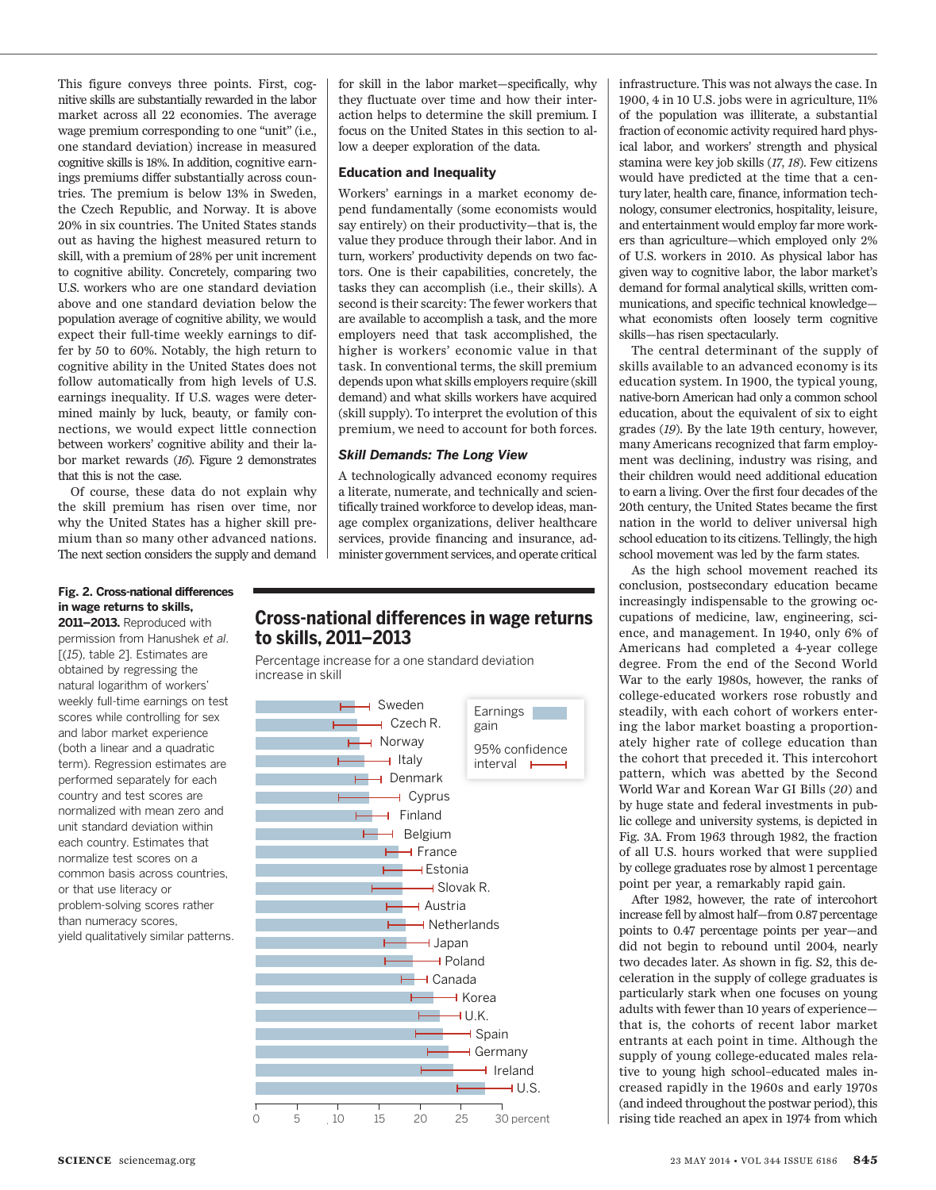This figure conveys three points. First, cognitive skills are substantially rewarded in the labor market across all 22 economies. The average wage premium corresponding to one "unit" (i.e., one standard deviation) increase in measured cognitive skills is 18%. In addition, cognitive earnings premiums differ substantially across countries. The premium is below 13% in Sweden, the Czech Republic, and Norway. It is above 20% in six countries. The United States stands out as having the highest measured return to skill, with a premium of 28% per unit increment to cognitive ability. Concretely, comparing two U.S. workers who are one standard deviation above and one standard deviation below the population average of cognitive ability, we would expect their full-time weekly earnings to differ by 50 to 60%. Notably, the high return to cognitive ability in the United States does not follow automatically from high levels of U.S. earnings inequality. If U.S. wages were determined mainly by luck, beauty, or family connections, we would expect little connection between workers' cognitive ability and their labor market rewards (16). Figure 2 demonstrates that this is not the case.

Of course, these data do not explain why the skill premium has risen over time, nor why the United States has a higher skill premium than so many other advanced nations. The next section considers the supply and demand

### Fig. 2. Cross-national differences in wage returns to skills,

2011-2013. Reproduced with permission from Hanushek et al. [(15), table 2]. Estimates are obtained by regressing the natural logarithm of workers' weekly full-time earnings on test scores while controlling for sex and labor market experience (both a linear and a quadratic term). Regression estimates are performed separately for each country and test scores are normalized with mean zero and unit standard deviation within each country. Estimates that normalize test scores on a common basis across countries, or that use literacy or problem-solving scores rather than numeracy scores, yield qualitatively similar patterns. for skill in the labor market—specifically, why they fluctuate over time and how their interaction helps to determine the skill premium. I focus on the United States in this section to allow a deeper exploration of the data.

#### Education and Inequality

Workers' earnings in a market economy depend fundamentally (some economists would say entirely) on their productivity—that is, the value they produce through their labor. And in turn, workers' productivity depends on two factors. One is their capabilities, concretely, the tasks they can accomplish (i.e., their skills). A second is their scarcity: The fewer workers that are available to accomplish a task, and the more employers need that task accomplished, the higher is workers' economic value in that task. In conventional terms, the skill premium depends upon what skills employers require (skill demand) and what skills workers have acquired (skill supply). To interpret the evolution of this premium, we need to account for both forces.

#### Skill Demands: The Long View

A technologically advanced economy requires a literate, numerate, and technically and scientifically trained workforce to develop ideas, manage complex organizations, deliver healthcare services, provide financing and insurance, administer government services, and operate critical

## **Cross-national differences in wage returns to skills, 2011–2013**

Percentage increase for a one standard deviation increase in skill



infrastructure. This was not always the case. In 1900, 4 in 10 U.S. jobs were in agriculture, 11% of the population was illiterate, a substantial fraction of economic activity required hard physical labor, and workers' strength and physical stamina were key job skills (17, 18). Few citizens would have predicted at the time that a century later, health care, finance, information technology, consumer electronics, hospitality, leisure, and entertainment would employ far more workers than agriculture—which employed only 2% of U.S. workers in 2010. As physical labor has given way to cognitive labor, the labor market's demand for formal analytical skills, written communications, and specific technical knowledge what economists often loosely term cognitive skills—has risen spectacularly.

The central determinant of the supply of skills available to an advanced economy is its education system. In 1900, the typical young, native-born American had only a common school education, about the equivalent of six to eight grades (19). By the late 19th century, however, many Americans recognized that farm employment was declining, industry was rising, and their children would need additional education to earn a living. Over the first four decades of the 20th century, the United States became the first nation in the world to deliver universal high school education to its citizens. Tellingly, the high school movement was led by the farm states.

As the high school movement reached its conclusion, postsecondary education became increasingly indispensable to the growing occupations of medicine, law, engineering, science, and management. In 1940, only 6% of Americans had completed a 4-year college degree. From the end of the Second World War to the early 1980s, however, the ranks of college-educated workers rose robustly and steadily, with each cohort of workers entering the labor market boasting a proportionately higher rate of college education than the cohort that preceded it. This intercohort pattern, which was abetted by the Second World War and Korean War GI Bills (20) and by huge state and federal investments in public college and university systems, is depicted in Fig. 3A. From 1963 through 1982, the fraction of all U.S. hours worked that were supplied by college graduates rose by almost 1 percentage point per year, a remarkably rapid gain.

After 1982, however, the rate of intercohort increase fell by almost half—from 0.87 percentage points to 0.47 percentage points per year—and did not begin to rebound until 2004, nearly two decades later. As shown in fig. S2, this deceleration in the supply of college graduates is particularly stark when one focuses on young adults with fewer than 10 years of experience that is, the cohorts of recent labor market entrants at each point in time. Although the supply of young college-educated males relative to young high school–educated males increased rapidly in the 1960s and early 1970s (and indeed throughout the postwar period), this rising tide reached an apex in 1974 from which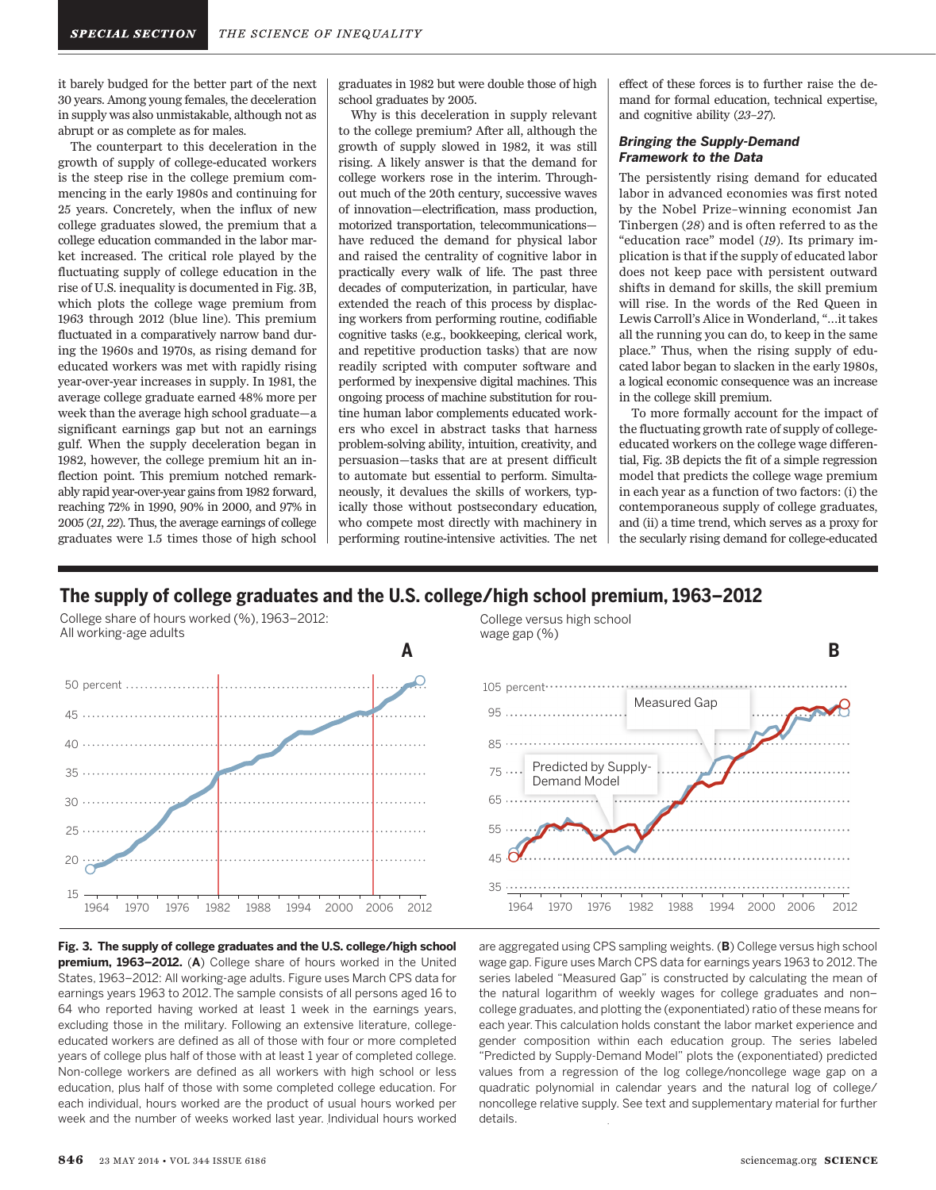it barely budged for the better part of the next 30 years. Among young females, the deceleration in supply was also unmistakable, although not as abrupt or as complete as for males.

The counterpart to this deceleration in the growth of supply of college-educated workers is the steep rise in the college premium commencing in the early 1980s and continuing for 25 years. Concretely, when the influx of new college graduates slowed, the premium that a college education commanded in the labor market increased. The critical role played by the fluctuating supply of college education in the rise of U.S. inequality is documented in Fig. 3B, which plots the college wage premium from 1963 through 2012 (blue line). This premium fluctuated in a comparatively narrow band during the 1960s and 1970s, as rising demand for educated workers was met with rapidly rising year-over-year increases in supply. In 1981, the average college graduate earned 48% more per week than the average high school graduate—a significant earnings gap but not an earnings gulf. When the supply deceleration began in 1982, however, the college premium hit an inflection point. This premium notched remarkably rapid year-over-year gains from 1982 forward, reaching 72% in 1990, 90% in 2000, and 97% in 2005 (21, 22). Thus, the average earnings of college graduates were 1.5 times those of high school

graduates in 1982 but were double those of high school graduates by 2005.

Why is this deceleration in supply relevant to the college premium? After all, although the growth of supply slowed in 1982, it was still rising. A likely answer is that the demand for college workers rose in the interim. Throughout much of the 20th century, successive waves of innovation—electrification, mass production, motorized transportation, telecommunications have reduced the demand for physical labor and raised the centrality of cognitive labor in practically every walk of life. The past three decades of computerization, in particular, have extended the reach of this process by displacing workers from performing routine, codifiable cognitive tasks (e.g., bookkeeping, clerical work, and repetitive production tasks) that are now readily scripted with computer software and performed by inexpensive digital machines. This ongoing process of machine substitution for routine human labor complements educated workers who excel in abstract tasks that harness problem-solving ability, intuition, creativity, and persuasion—tasks that are at present difficult to automate but essential to perform. Simultaneously, it devalues the skills of workers, typically those without postsecondary education, who compete most directly with machinery in performing routine-intensive activities. The net effect of these forces is to further raise the demand for formal education, technical expertise, and cognitive ability (23–27).

#### Bringing the Supply-Demand Framework to the Data

The persistently rising demand for educated labor in advanced economies was first noted by the Nobel Prize–winning economist Jan Tinbergen (28) and is often referred to as the "education race" model (19). Its primary implication is that if the supply of educated labor does not keep pace with persistent outward shifts in demand for skills, the skill premium will rise. In the words of the Red Queen in Lewis Carroll's Alice in Wonderland, "…it takes all the running you can do, to keep in the same place." Thus, when the rising supply of educated labor began to slacken in the early 1980s, a logical economic consequence was an increase in the college skill premium.

To more formally account for the impact of the fluctuating growth rate of supply of collegeeducated workers on the college wage differential, Fig. 3B depicts the fit of a simple regression model that predicts the college wage premium in each year as a function of two factors: (i) the contemporaneous supply of college graduates, and (ii) a time trend, which serves as a proxy for the secularly rising demand for college-educated

## **The supply of college graduates and the U.S. college/high school premium, 1963–2012**

College share of hours worked (%), 1963–2012: All working-age adults



Fig. 3. The supply of college graduates and the U.S. college/high school premium, 1963-2012. (A) College share of hours worked in the United States, 1963–2012: All working-age adults. Figure uses March CPS data for earnings years 1963 to 2012. The sample consists of all persons aged 16 to 64 who reported having worked at least 1 week in the earnings years, excluding those in the military. Following an extensive literature, collegeeducated workers are defined as all of those with four or more completed years of college plus half of those with at least 1 year of completed college. Non-college workers are defined as all workers with high school or less education, plus half of those with some completed college education. For each individual, hours worked are the product of usual hours worked per week and the number of weeks worked last year. Individual hours worked College versus high school wage gap (%)



are aggregated using CPS sampling weights. (B) College versus high school wage gap. Figure uses March CPS data for earnings years 1963 to 2012.The series labeled "Measured Gap" is constructed by calculating the mean of the natural logarithm of weekly wages for college graduates and non– college graduates, and plotting the (exponentiated) ratio of these means for each year. This calculation holds constant the labor market experience and gender composition within each education group. The series labeled "Predicted by Supply-Demand Model" plots the (exponentiated) predicted values from a regression of the log college/noncollege wage gap on a quadratic polynomial in calendar years and the natural log of college/ noncollege relative supply. See text and supplementary material for further details.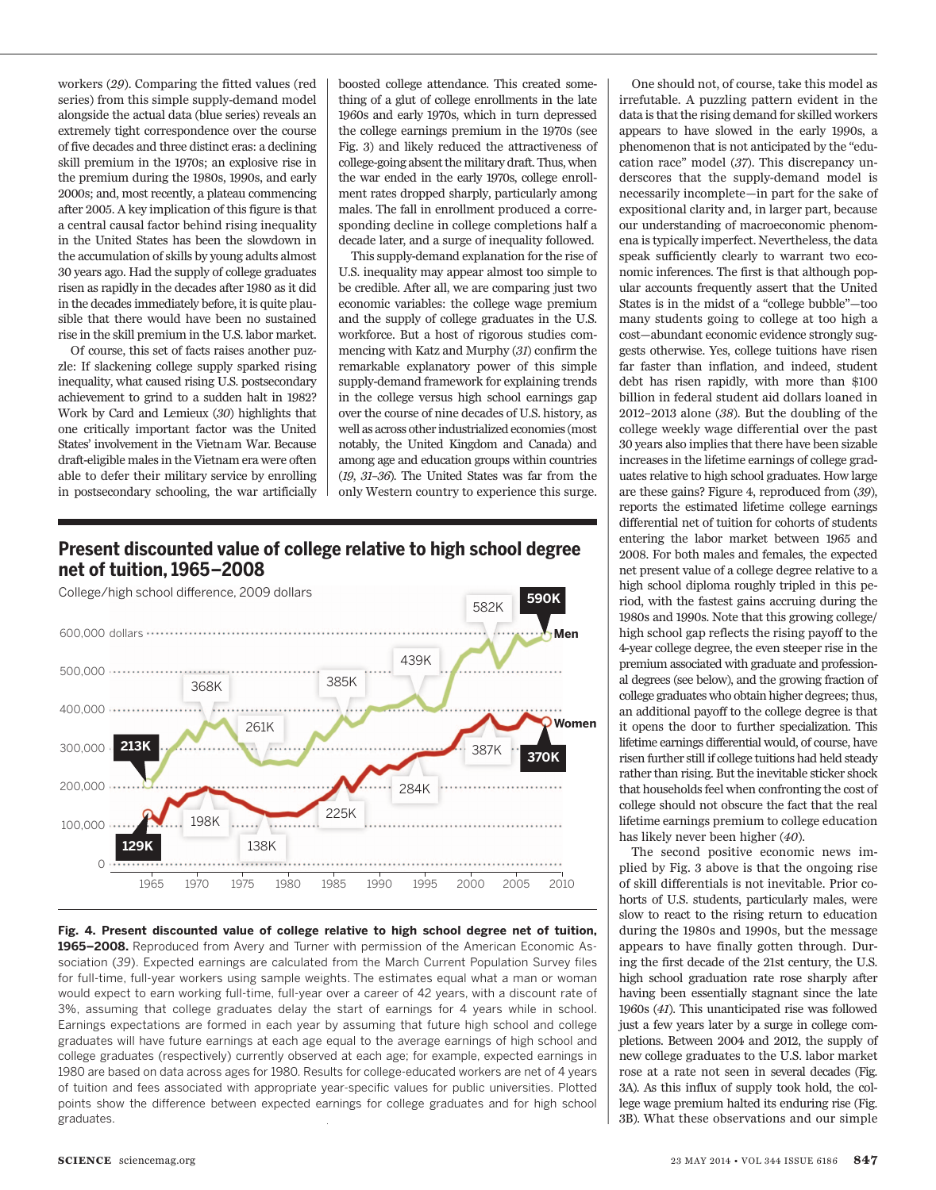workers (29). Comparing the fitted values (red series) from this simple supply-demand model alongside the actual data (blue series) reveals an extremely tight correspondence over the course of five decades and three distinct eras: a declining skill premium in the 1970s; an explosive rise in the premium during the 1980s, 1990s, and early 2000s; and, most recently, a plateau commencing after 2005. A key implication of this figure is that a central causal factor behind rising inequality in the United States has been the slowdown in the accumulation of skills by young adults almost 30 years ago. Had the supply of college graduates risen as rapidly in the decades after 1980 as it did in the decades immediately before, it is quite plausible that there would have been no sustained rise in the skill premium in the U.S. labor market.

Of course, this set of facts raises another puzzle: If slackening college supply sparked rising inequality, what caused rising U.S. postsecondary achievement to grind to a sudden halt in 1982? Work by Card and Lemieux (30) highlights that one critically important factor was the United States' involvement in the Vietnam War. Because draft-eligible males in the Vietnam era were often able to defer their military service by enrolling in postsecondary schooling, the war artificially

boosted college attendance. This created something of a glut of college enrollments in the late 1960s and early 1970s, which in turn depressed the college earnings premium in the 1970s (see Fig. 3) and likely reduced the attractiveness of college-going absent the military draft. Thus, when the war ended in the early 1970s, college enrollment rates dropped sharply, particularly among males. The fall in enrollment produced a corresponding decline in college completions half a decade later, and a surge of inequality followed.

This supply-demand explanation for the rise of U.S. inequality may appear almost too simple to be credible. After all, we are comparing just two economic variables: the college wage premium and the supply of college graduates in the U.S. workforce. But a host of rigorous studies commencing with Katz and Murphy (31) confirm the remarkable explanatory power of this simple supply-demand framework for explaining trends in the college versus high school earnings gap over the course of nine decades of U.S. history, as well as across other industrialized economies (most notably, the United Kingdom and Canada) and among age and education groups within countries (19, 31–36). The United States was far from the only Western country to experience this surge.

## **Present discounted value of college relative to high school degree net of tuition, 1965–2008**



Fig. 4. Present discounted value of college relative to high school degree net of tuition, 1965–2008. Reproduced from Avery and Turner with permission of the American Economic Association (39). Expected earnings are calculated from the March Current Population Survey files for full-time, full-year workers using sample weights. The estimates equal what a man or woman would expect to earn working full-time, full-year over a career of 42 years, with a discount rate of 3%, assuming that college graduates delay the start of earnings for 4 years while in school. Earnings expectations are formed in each year by assuming that future high school and college graduates will have future earnings at each age equal to the average earnings of high school and college graduates (respectively) currently observed at each age; for example, expected earnings in 1980 are based on data across ages for 1980. Results for college-educated workers are net of 4 years of tuition and fees associated with appropriate year-specific values for public universities. Plotted points show the difference between expected earnings for college graduates and for high school graduates.

One should not, of course, take this model as irrefutable. A puzzling pattern evident in the data is that the rising demand for skilled workers appears to have slowed in the early 1990s, a phenomenon that is not anticipated by the "education race" model (37). This discrepancy underscores that the supply-demand model is necessarily incomplete—in part for the sake of expositional clarity and, in larger part, because our understanding of macroeconomic phenomena is typically imperfect. Nevertheless, the data speak sufficiently clearly to warrant two economic inferences. The first is that although popular accounts frequently assert that the United States is in the midst of a "college bubble"—too many students going to college at too high a cost—abundant economic evidence strongly suggests otherwise. Yes, college tuitions have risen far faster than inflation, and indeed, student debt has risen rapidly, with more than \$100 billion in federal student aid dollars loaned in 2012–2013 alone (38). But the doubling of the college weekly wage differential over the past 30 years also implies that there have been sizable increases in the lifetime earnings of college graduates relative to high school graduates. How large are these gains? Figure 4, reproduced from (39), reports the estimated lifetime college earnings differential net of tuition for cohorts of students entering the labor market between 1965 and 2008. For both males and females, the expected net present value of a college degree relative to a high school diploma roughly tripled in this period, with the fastest gains accruing during the 1980s and 1990s. Note that this growing college/ high school gap reflects the rising payoff to the 4-year college degree, the even steeper rise in the premium associated with graduate and professional degrees (see below), and the growing fraction of college graduates who obtain higher degrees; thus, an additional payoff to the college degree is that it opens the door to further specialization. This lifetime earnings differential would, of course, have risen further still if college tuitions had held steady rather than rising. But the inevitable sticker shock that households feel when confronting the cost of college should not obscure the fact that the real lifetime earnings premium to college education has likely never been higher (40).

The second positive economic news implied by Fig. 3 above is that the ongoing rise of skill differentials is not inevitable. Prior cohorts of U.S. students, particularly males, were slow to react to the rising return to education during the 1980s and 1990s, but the message appears to have finally gotten through. During the first decade of the 21st century, the U.S. high school graduation rate rose sharply after having been essentially stagnant since the late 1960s (41). This unanticipated rise was followed just a few years later by a surge in college completions. Between 2004 and 2012, the supply of new college graduates to the U.S. labor market rose at a rate not seen in several decades (Fig. 3A). As this influx of supply took hold, the college wage premium halted its enduring rise (Fig. 3B). What these observations and our simple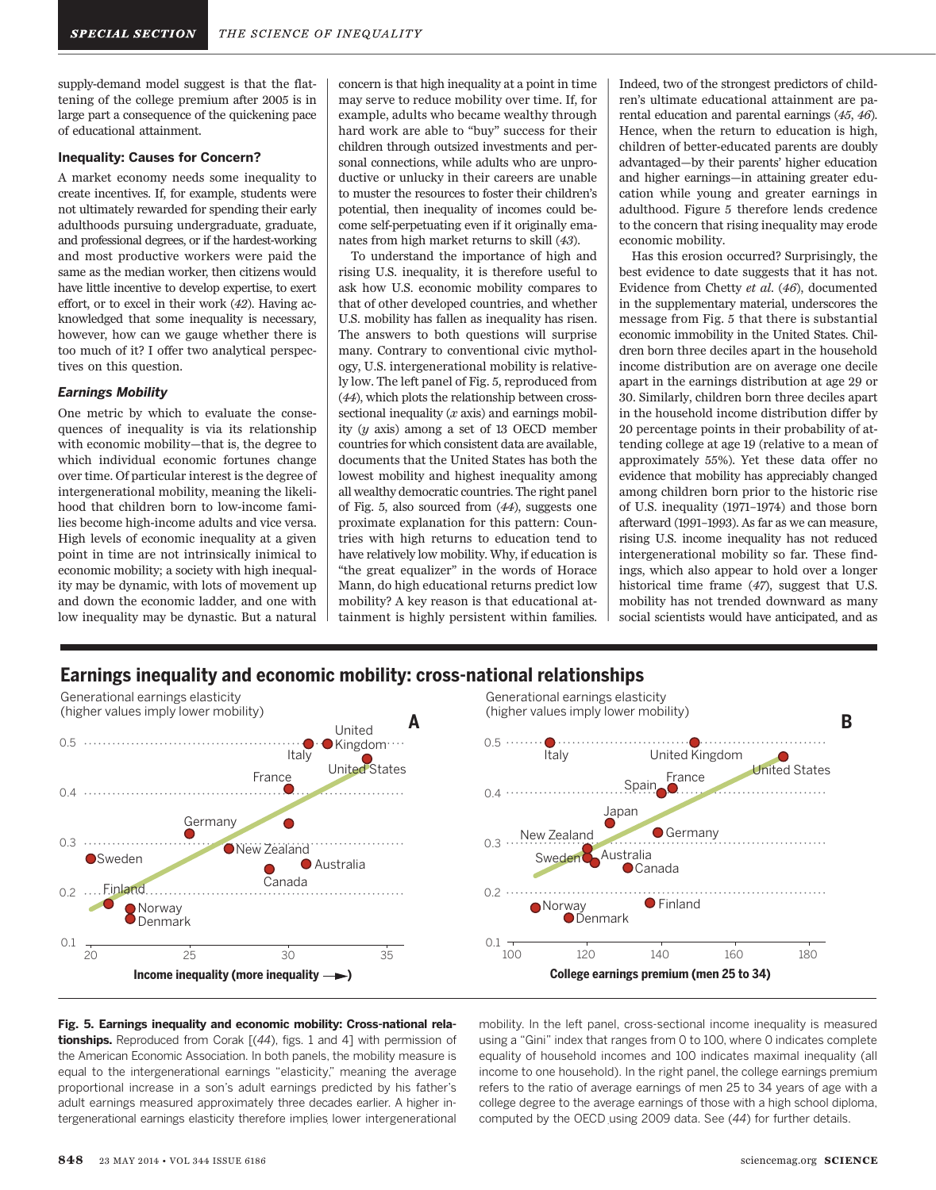supply-demand model suggest is that the flattening of the college premium after 2005 is in large part a consequence of the quickening pace of educational attainment.

#### Inequality: Causes for Concern?

A market economy needs some inequality to create incentives. If, for example, students were not ultimately rewarded for spending their early adulthoods pursuing undergraduate, graduate, and professional degrees, or if the hardest-working and most productive workers were paid the same as the median worker, then citizens would have little incentive to develop expertise, to exert effort, or to excel in their work (42). Having acknowledged that some inequality is necessary, however, how can we gauge whether there is too much of it? I offer two analytical perspectives on this question.

#### Earnings Mobility

One metric by which to evaluate the consequences of inequality is via its relationship with economic mobility—that is, the degree to which individual economic fortunes change over time. Of particular interest is the degree of intergenerational mobility, meaning the likelihood that children born to low-income families become high-income adults and vice versa. High levels of economic inequality at a given point in time are not intrinsically inimical to economic mobility; a society with high inequality may be dynamic, with lots of movement up and down the economic ladder, and one with low inequality may be dynastic. But a natural

concern is that high inequality at a point in time may serve to reduce mobility over time. If, for example, adults who became wealthy through hard work are able to "buy" success for their children through outsized investments and personal connections, while adults who are unproductive or unlucky in their careers are unable to muster the resources to foster their children's potential, then inequality of incomes could become self-perpetuating even if it originally emanates from high market returns to skill (43).

To understand the importance of high and rising U.S. inequality, it is therefore useful to ask how U.S. economic mobility compares to that of other developed countries, and whether U.S. mobility has fallen as inequality has risen. The answers to both questions will surprise many. Contrary to conventional civic mythology, U.S. intergenerational mobility is relatively low. The left panel of Fig. 5, reproduced from (44), which plots the relationship between crosssectional inequality  $(x \text{ axis})$  and earnings mobility  $(y \text{ axis})$  among a set of 13 OECD member countries for which consistent data are available, documents that the United States has both the lowest mobility and highest inequality among all wealthy democratic countries. The right panel of Fig. 5, also sourced from (44), suggests one proximate explanation for this pattern: Countries with high returns to education tend to have relatively low mobility. Why, if education is "the great equalizer" in the words of Horace Mann, do high educational returns predict low mobility? A key reason is that educational attainment is highly persistent within families.

Indeed, two of the strongest predictors of children's ultimate educational attainment are parental education and parental earnings (45, 46). Hence, when the return to education is high, children of better-educated parents are doubly advantaged—by their parents' higher education and higher earnings—in attaining greater education while young and greater earnings in adulthood. Figure 5 therefore lends credence to the concern that rising inequality may erode economic mobility.

Has this erosion occurred? Surprisingly, the best evidence to date suggests that it has not. Evidence from Chetty et al. (46), documented in the supplementary material, underscores the message from Fig. 5 that there is substantial economic immobility in the United States. Children born three deciles apart in the household income distribution are on average one decile apart in the earnings distribution at age 29 or 30. Similarly, children born three deciles apart in the household income distribution differ by 20 percentage points in their probability of attending college at age 19 (relative to a mean of approximately 55%). Yet these data offer no evidence that mobility has appreciably changed among children born prior to the historic rise of U.S. inequality (1971–1974) and those born afterward (1991–1993). As far as we can measure, rising U.S. income inequality has not reduced intergenerational mobility so far. These findings, which also appear to hold over a longer historical time frame (47), suggest that U.S. mobility has not trended downward as many social scientists would have anticipated, and as

## **Earnings inequality and economic mobility: cross-national relationships**



Fig. 5. Earnings inequality and economic mobility: Cross-national relationships. Reproduced from Corak [(44), figs. 1 and 4] with permission of the American Economic Association. In both panels, the mobility measure is equal to the intergenerational earnings "elasticity," meaning the average proportional increase in a son's adult earnings predicted by his father's adult earnings measured approximately three decades earlier. A higher intergenerational earnings elasticity therefore implies lower intergenerational mobility. In the left panel, cross-sectional income inequality is measured using a "Gini" index that ranges from 0 to 100, where 0 indicates complete equality of household incomes and 100 indicates maximal inequality (all income to one household). In the right panel, the college earnings premium refers to the ratio of average earnings of men 25 to 34 years of age with a college degree to the average earnings of those with a high school diploma, computed by the OECD using 2009 data. See (44) for further details.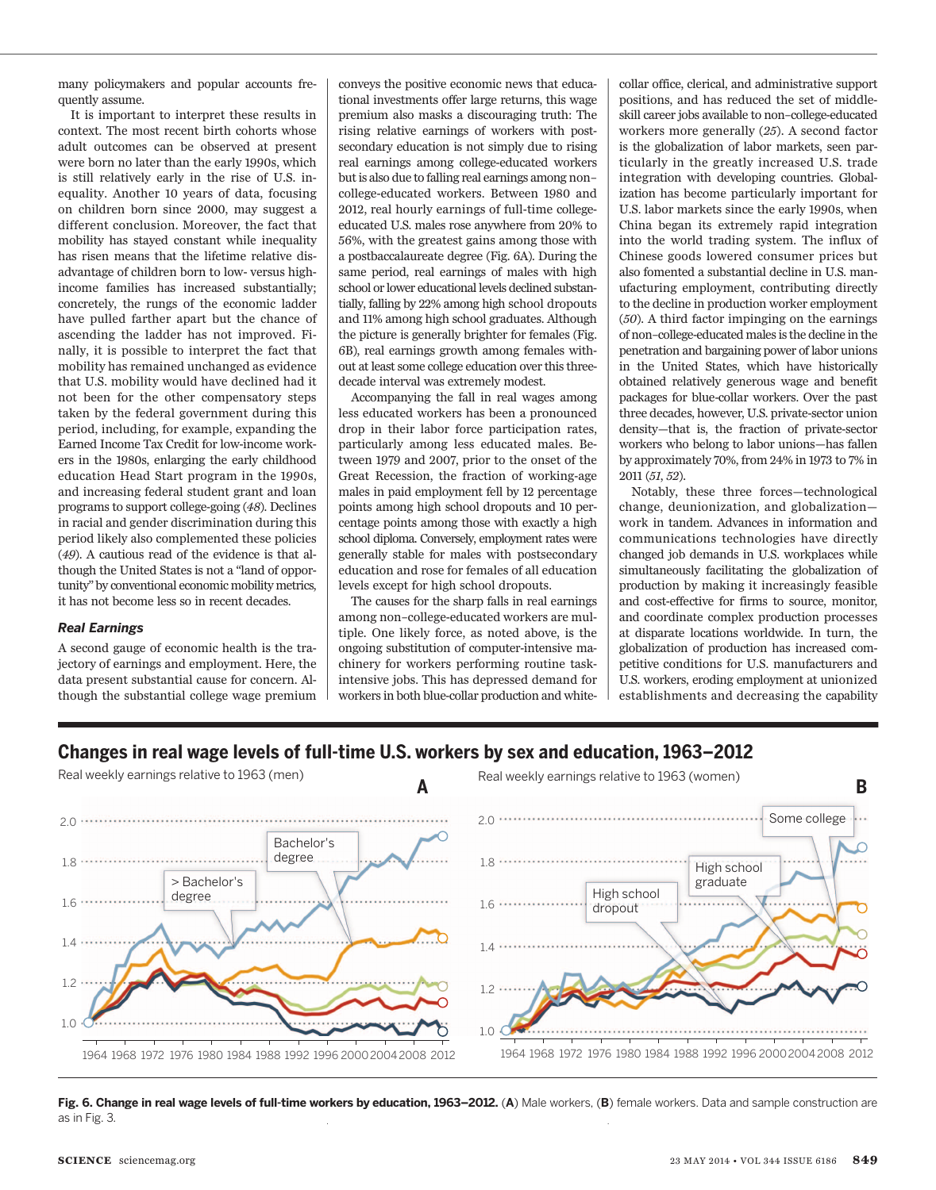many policymakers and popular accounts frequently assume.

It is important to interpret these results in context. The most recent birth cohorts whose adult outcomes can be observed at present were born no later than the early 1990s, which is still relatively early in the rise of U.S. inequality. Another 10 years of data, focusing on children born since 2000, may suggest a different conclusion. Moreover, the fact that mobility has stayed constant while inequality has risen means that the lifetime relative disadvantage of children born to low- versus highincome families has increased substantially; concretely, the rungs of the economic ladder have pulled farther apart but the chance of ascending the ladder has not improved. Finally, it is possible to interpret the fact that mobility has remained unchanged as evidence that U.S. mobility would have declined had it not been for the other compensatory steps taken by the federal government during this period, including, for example, expanding the Earned Income Tax Credit for low-income workers in the 1980s, enlarging the early childhood education Head Start program in the 1990s, and increasing federal student grant and loan programs to support college-going (48). Declines in racial and gender discrimination during this period likely also complemented these policies (49). A cautious read of the evidence is that although the United States is not a "land of opportunity" by conventional economic mobility metrics, it has not become less so in recent decades.

#### Real Earnings

A second gauge of economic health is the trajectory of earnings and employment. Here, the data present substantial cause for concern. Although the substantial college wage premium

conveys the positive economic news that educational investments offer large returns, this wage premium also masks a discouraging truth: The rising relative earnings of workers with postsecondary education is not simply due to rising real earnings among college-educated workers but is also due to falling real earnings among non– college-educated workers. Between 1980 and 2012, real hourly earnings of full-time collegeeducated U.S. males rose anywhere from 20% to 56%, with the greatest gains among those with a postbaccalaureate degree (Fig. 6A). During the same period, real earnings of males with high school or lower educational levels declined substantially, falling by 22% among high school dropouts and 11% among high school graduates. Although the picture is generally brighter for females (Fig. 6B), real earnings growth among females without at least some college education over this threedecade interval was extremely modest.

Accompanying the fall in real wages among less educated workers has been a pronounced drop in their labor force participation rates, particularly among less educated males. Between 1979 and 2007, prior to the onset of the Great Recession, the fraction of working-age males in paid employment fell by 12 percentage points among high school dropouts and 10 percentage points among those with exactly a high school diploma. Conversely, employment rates were generally stable for males with postsecondary education and rose for females of all education levels except for high school dropouts.

The causes for the sharp falls in real earnings among non–college-educated workers are multiple. One likely force, as noted above, is the ongoing substitution of computer-intensive machinery for workers performing routine taskintensive jobs. This has depressed demand for workers in both blue-collar production and whitecollar office, clerical, and administrative support positions, and has reduced the set of middleskill career jobs available to non–college-educated workers more generally (25). A second factor is the globalization of labor markets, seen particularly in the greatly increased U.S. trade integration with developing countries. Globalization has become particularly important for U.S. labor markets since the early 1990s, when China began its extremely rapid integration into the world trading system. The influx of Chinese goods lowered consumer prices but also fomented a substantial decline in U.S. manufacturing employment, contributing directly to the decline in production worker employment (50). A third factor impinging on the earnings of non–college-educated males is the decline in the penetration and bargaining power of labor unions in the United States, which have historically obtained relatively generous wage and benefit packages for blue-collar workers. Over the past three decades, however, U.S. private-sector union density—that is, the fraction of private-sector workers who belong to labor unions—has fallen by approximately 70%, from 24% in 1973 to 7% in 2011 (51, 52).

Notably, these three forces—technological change, deunionization, and globalization work in tandem. Advances in information and communications technologies have directly changed job demands in U.S. workplaces while simultaneously facilitating the globalization of production by making it increasingly feasible and cost-effective for firms to source, monitor, and coordinate complex production processes at disparate locations worldwide. In turn, the globalization of production has increased competitive conditions for U.S. manufacturers and U.S. workers, eroding employment at unionized establishments and decreasing the capability

## **Changes in real wage levels of full-time U.S. workers by sex and education, 1963–2012**

![](_page_6_Figure_10.jpeg)

Fig. 6. Change in real wage levels of full-time workers by education, 1963–2012. (A) Male workers, (B) female workers. Data and sample construction are as in Fig. 3.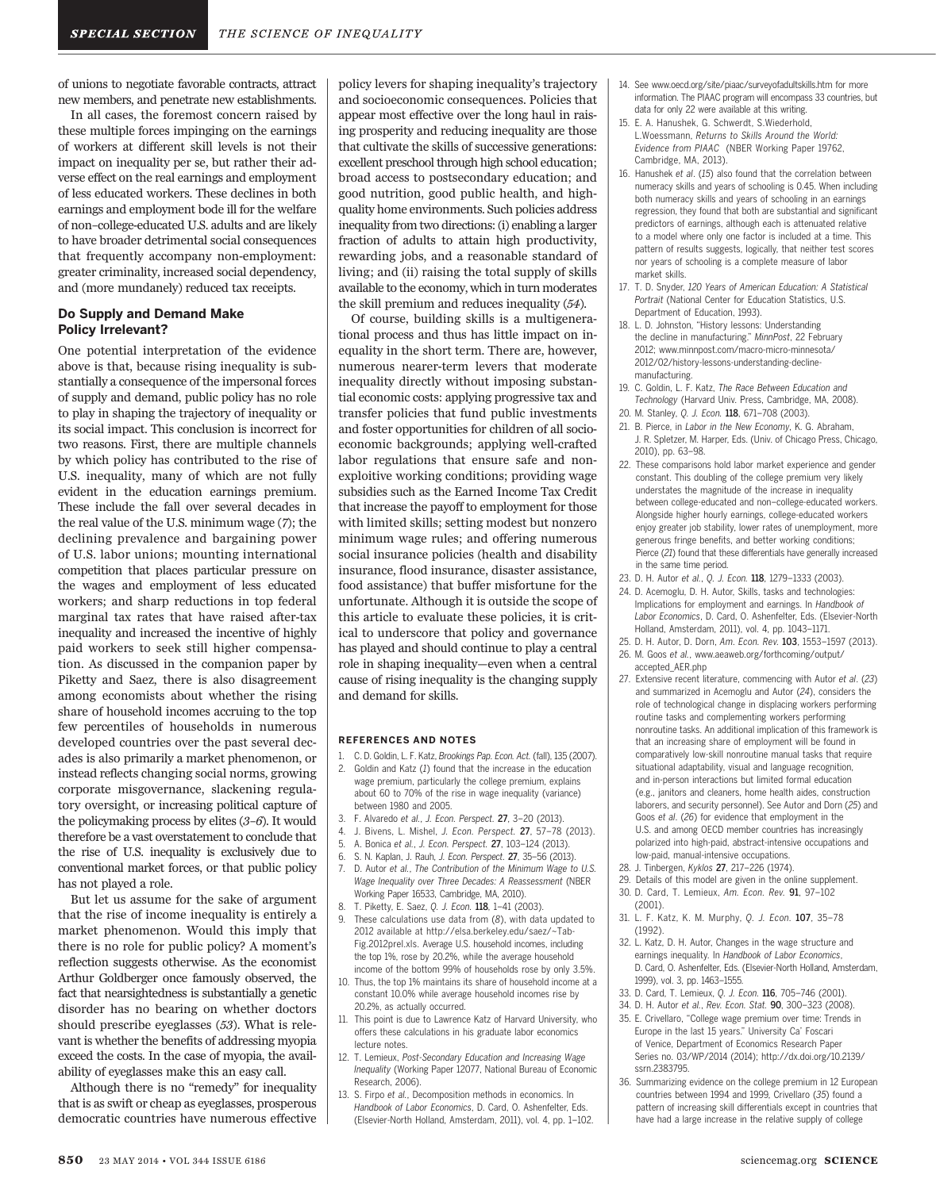of unions to negotiate favorable contracts, attract new members, and penetrate new establishments.

In all cases, the foremost concern raised by these multiple forces impinging on the earnings of workers at different skill levels is not their impact on inequality per se, but rather their adverse effect on the real earnings and employment of less educated workers. These declines in both earnings and employment bode ill for the welfare of non–college-educated U.S. adults and are likely to have broader detrimental social consequences that frequently accompany non-employment: greater criminality, increased social dependency, and (more mundanely) reduced tax receipts.

#### Do Supply and Demand Make Policy Irrelevant?

One potential interpretation of the evidence above is that, because rising inequality is substantially a consequence of the impersonal forces of supply and demand, public policy has no role to play in shaping the trajectory of inequality or its social impact. This conclusion is incorrect for two reasons. First, there are multiple channels by which policy has contributed to the rise of U.S. inequality, many of which are not fully evident in the education earnings premium. These include the fall over several decades in the real value of the U.S. minimum wage (7); the declining prevalence and bargaining power of U.S. labor unions; mounting international competition that places particular pressure on the wages and employment of less educated workers; and sharp reductions in top federal marginal tax rates that have raised after-tax inequality and increased the incentive of highly paid workers to seek still higher compensation. As discussed in the companion paper by Piketty and Saez, there is also disagreement among economists about whether the rising share of household incomes accruing to the top few percentiles of households in numerous developed countries over the past several decades is also primarily a market phenomenon, or instead reflects changing social norms, growing corporate misgovernance, slackening regulatory oversight, or increasing political capture of the policymaking process by elites  $(3-6)$ . It would therefore be a vast overstatement to conclude that the rise of U.S. inequality is exclusively due to conventional market forces, or that public policy has not played a role.

But let us assume for the sake of argument that the rise of income inequality is entirely a market phenomenon. Would this imply that there is no role for public policy? A moment's reflection suggests otherwise. As the economist Arthur Goldberger once famously observed, the fact that nearsightedness is substantially a genetic disorder has no bearing on whether doctors should prescribe eyeglasses (53). What is relevant is whether the benefits of addressing myopia exceed the costs. In the case of myopia, the availability of eyeglasses make this an easy call.

Although there is no "remedy" for inequality that is as swift or cheap as eyeglasses, prosperous democratic countries have numerous effective

policy levers for shaping inequality's trajectory and socioeconomic consequences. Policies that appear most effective over the long haul in raising prosperity and reducing inequality are those that cultivate the skills of successive generations: excellent preschool through high school education; broad access to postsecondary education; and good nutrition, good public health, and highquality home environments. Such policies address inequality from two directions: (i) enabling a larger fraction of adults to attain high productivity, rewarding jobs, and a reasonable standard of living; and (ii) raising the total supply of skills available to the economy, which in turn moderates the skill premium and reduces inequality (54).

Of course, building skills is a multigenerational process and thus has little impact on inequality in the short term. There are, however, numerous nearer-term levers that moderate inequality directly without imposing substantial economic costs: applying progressive tax and transfer policies that fund public investments and foster opportunities for children of all socioeconomic backgrounds; applying well-crafted labor regulations that ensure safe and nonexploitive working conditions; providing wage subsidies such as the Earned Income Tax Credit that increase the payoff to employment for those with limited skills; setting modest but nonzero minimum wage rules; and offering numerous social insurance policies (health and disability insurance, flood insurance, disaster assistance, food assistance) that buffer misfortune for the unfortunate. Although it is outside the scope of this article to evaluate these policies, it is critical to underscore that policy and governance has played and should continue to play a central role in shaping inequality—even when a central cause of rising inequality is the changing supply and demand for skills.

#### REFERENCES AND NOTES

- 1. C. D. Goldin, L. F. Katz, Brookings Pap. Econ. Act. (fall), 135 (2007). 2. Goldin and Katz (1) found that the increase in the education wage premium, particularly the college premium, explains about 60 to 70% of the rise in wage inequality (variance)
- between 1980 and 2005.
- 3. F. Alvaredo et al., J. Econ. Perspect. 27, 3–20 (2013).
- 4. J. Bivens, L. Mishel, J. Econ. Perspect. 27, 57–78 (2013).
- 5. A. Bonica et al., J. Econ. Perspect. 27, 103–124 (2013).
- 6. S. N. Kaplan, J. Rauh, J. Econ. Perspect. 27, 35–56 (2013).
- 7. D. Autor et al., The Contribution of the Minimum Wage to U.S. Wage Inequality over Three Decades: A Reassessment (NBER Working Paper 16533, Cambridge, MA, 2010).
- 8. T. Piketty, E. Saez, O. J. Econ. 118, 1-41 (2003). These calculations use data from (8), with data updated to 2012 available at http://elsa.berkeley.edu/saez/~Tab-Fig.2012prel.xls. Average U.S. household incomes, including
- the top 1%, rose by 20.2%, while the average household income of the bottom 99% of households rose by only 3.5%. 10. Thus, the top 1% maintains its share of household income at a
- constant 10.0% while average household incomes rise by 20.2%, as actually occurred.
- 11. This point is due to Lawrence Katz of Harvard University, who offers these calculations in his graduate labor economics lecture notes.
- 12. T. Lemieux, Post-Secondary Education and Increasing Wage Inequality (Working Paper 12077, National Bureau of Economic Research, 2006).
- 13. S. Firpo et al., Decomposition methods in economics. In Handbook of Labor Economics, D. Card, O. Ashenfelter, Eds. (Elsevier-North Holland, Amsterdam, 2011), vol. 4, pp. 1–102.
- 14. See www.oecd.org/site/piaac/surveyofadultskills.htm for more information. The PIAAC program will encompass 33 countries, but data for only 22 were available at this writing.
- 15. E. A. Hanushek, G. Schwerdt, S.Wiederhold, L.Woessmann, Returns to Skills Around the World: Evidence from PIAAC (NBER Working Paper 19762, Cambridge, MA, 2013).
- 16. Hanushek et al. (15) also found that the correlation between numeracy skills and years of schooling is 0.45. When including both numeracy skills and years of schooling in an earnings regression, they found that both are substantial and significant predictors of earnings, although each is attenuated relative to a model where only one factor is included at a time. This pattern of results suggests, logically, that neither test scores nor years of schooling is a complete measure of labor market skills.
- 17. T. D. Snyder, 120 Years of American Education: A Statistical Portrait (National Center for Education Statistics, U.S. Department of Education, 1993).
- 18. L. D. Johnston, "History lessons: Understanding the decline in manufacturing." MinnPost, 22 February 2012; www.minnpost.com/macro-micro-minnesota/ 2012/02/history-lessons-understanding-declinemanufacturing.
- 19. C. Goldin, L. F. Katz, The Race Between Education and Technology (Harvard Univ. Press, Cambridge, MA, 2008).
- 20. M. Stanley, Q. J. Econ. 118, 671–708 (2003). 21. B. Pierce, in Labor in the New Economy, K. G. Abraham, J. R. Spletzer, M. Harper, Eds. (Univ. of Chicago Press, Chicago,
- 2010), pp. 63–98.
- 22. These comparisons hold labor market experience and gender constant. This doubling of the college premium very likely understates the magnitude of the increase in inequality between college-educated and non–college-educated workers. Alongside higher hourly earnings, college-educated workers enjoy greater job stability, lower rates of unemployment, more generous fringe benefits, and better working conditions; Pierce (21) found that these differentials have generally increased in the same time period.
- 23. D. H. Autor et al., Q. J. Econ. 118, 1279–1333 (2003).
- 24. D. Acemoglu, D. H. Autor, Skills, tasks and technologies: Implications for employment and earnings. In Handbook of Labor Economics, D. Card, O. Ashenfelter, Eds. (Elsevier-North Holland, Amsterdam, 2011), vol. 4, pp. 1043–1171.
- 25. D. H. Autor, D. Dorn, Am. Econ. Rev. 103, 1553–1597 (2013). 26. M. Goos et al., www.aeaweb.org/forthcoming/output/ accepted\_AER.php
- 27. Extensive recent literature, commencing with Autor et al. (23) and summarized in Acemoglu and Autor (24), considers the role of technological change in displacing workers performing routine tasks and complementing workers performing nonroutine tasks. An additional implication of this framework is that an increasing share of employment will be found in comparatively low-skill nonroutine manual tasks that require situational adaptability, visual and language recognition, and in-person interactions but limited formal education (e.g., janitors and cleaners, home health aides, construction laborers, and security personnel). See Autor and Dorn (25) and Goos et al. (26) for evidence that employment in the U.S. and among OECD member countries has increasingly polarized into high-paid, abstract-intensive occupations and low-paid, manual-intensive occupations.
- 28. J. Tinbergen, Kyklos 27, 217–226 (1974).
- 29. Details of this model are given in the online supplement.
- 30. D. Card, T. Lemieux, Am. Econ. Rev. 91, 97–102 (2001).
- 31. L. F. Katz, K. M. Murphy, Q. J. Econ. 107, 35–78 (1992).
- 32. L. Katz, D. H. Autor, Changes in the wage structure and earnings inequality. In Handbook of Labor Economics, D. Card, O. Ashenfelter, Eds. (Elsevier-North Holland, Amsterdam, 1999), vol. 3, pp. 1463–1555.
- 33. D. Card, T. Lemieux, Q. J. Econ. 116, 705–746 (2001).
- 34. D. H. Autor et al., Rev. Econ. Stat. 90, 300–323 (2008).
- 35. E. Crivellaro, "College wage premium over time: Trends in Europe in the last 15 years." University Ca' Foscari of Venice, Department of Economics Research Paper Series no. 03/WP/2014 (2014); http://dx.doi.org/10.2139/ ssrn.2383795.
- 36. Summarizing evidence on the college premium in 12 European countries between 1994 and 1999, Crivellaro (35) found a pattern of increasing skill differentials except in countries that have had a large increase in the relative supply of college